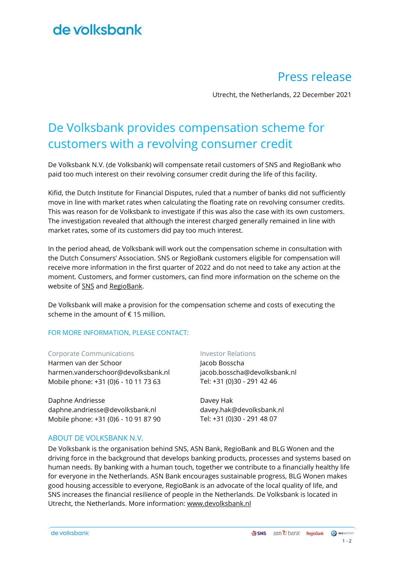## de volksbank

### Press release

Utrecht, the Netherlands, 22 December 2021

### De Volksbank provides compensation scheme for customers with a revolving consumer credit

De Volksbank N.V. (de Volksbank) will compensate retail customers of SNS and RegioBank who paid too much interest on their revolving consumer credit during the life of this facility.

Kifid, the Dutch Institute for Financial Disputes, ruled that a number of banks did not sufficiently move in line with market rates when calculating the floating rate on revolving consumer credits. This was reason for de Volksbank to investigate if this was also the case with its own customers. The investigation revealed that although the interest charged generally remained in line with market rates, some of its customers did pay too much interest.

In the period ahead, de Volksbank will work out the compensation scheme in consultation with the Dutch Consumers' Association. SNS or RegioBank customers eligible for compensation will receive more information in the first quarter of 2022 and do not need to take any action at the moment. Customers, and former customers, can find more information on the scheme on the website of [SNS](http://www.snsbank.nl/compensatie-variabele-rente) and [RegioBank.](http://www.regiobank.nl/compensatie-variabele-rente)

De Volksbank will make a provision for the compensation scheme and costs of executing the scheme in the amount of  $\epsilon$  15 million.

#### FOR MORE INFORMATION, PLEASE CONTACT:

#### Corporate Communications **Investor Relations**

Harmen van der Schoor harmen.vanderschoor@devolksbank.nl Mobile phone: +31 (0)6 - 10 11 73 63

Daphne Andriesse daphne.andriesse@devolksbank.nl Mobile phone: +31 (0)6 - 10 91 87 90

#### ABOUT DE VOLKSBANK N.V.

Jacob Bosscha jacob.bosscha@devolksbank.nl Tel: +31 (0)30 - 291 42 46

Davey Hak davey.hak@devolksbank.nl Tel: +31 (0)30 - 291 48 07

De Volksbank is the organisation behind SNS, ASN Bank, RegioBank and BLG Wonen and the driving force in the background that develops banking products, processes and systems based on human needs. By banking with a human touch, together we contribute to a financially healthy life for everyone in the Netherlands. ASN Bank encourages sustainable progress, BLG Wonen makes good housing accessible to everyone, RegioBank is an advocate of the local quality of life, and SNS increases the financial resilience of people in the Netherlands. De Volksbank is located in Utrecht, the Netherlands. More information: [www.devolksbank.nl](http://www.devolksbank.nl/)